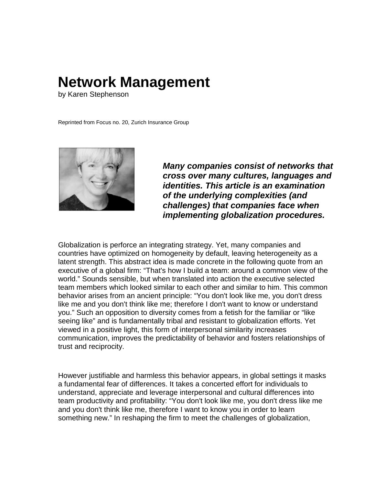## **Network Management**

by Karen Stephenson

Reprinted from Focus no. 20, Zurich Insurance Group



*Many companies consist of networks that cross over many cultures, languages and identities. This article is an examination of the underlying complexities (and challenges) that companies face when implementing globalization procedures.*

Globalization is perforce an integrating strategy. Yet, many companies and countries have optimized on homogeneity by default, leaving heterogeneity as a latent strength. This abstract idea is made concrete in the following quote from an executive of a global firm: "That's how I build a team: around a common view of the world." Sounds sensible, but when translated into action the executive selected team members which looked similar to each other and similar to him. This common behavior arises from an ancient principle: "You don't look like me, you don't dress like me and you don't think like me; therefore I don't want to know or understand you." Such an opposition to diversity comes from a fetish for the familiar or "like seeing like" and is fundamentally tribal and resistant to globalization efforts. Yet viewed in a positive light, this form of interpersonal similarity increases communication, improves the predictability of behavior and fosters relationships of trust and reciprocity.

However justifiable and harmless this behavior appears, in global settings it masks a fundamental fear of differences. It takes a concerted effort for individuals to understand, appreciate and leverage interpersonal and cultural differences into team productivity and profitability: "You don't look like me, you don't dress like me and you don't think like me, therefore I want to know you in order to learn something new." In reshaping the firm to meet the challenges of globalization,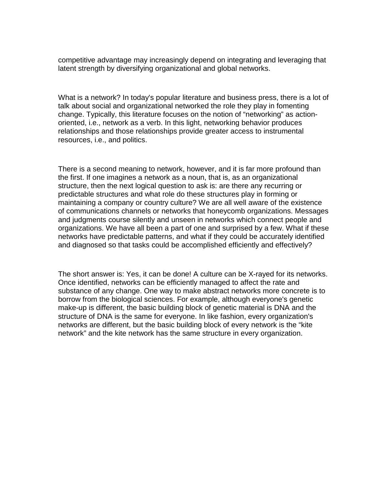competitive advantage may increasingly depend on integrating and leveraging that latent strength by diversifying organizational and global networks.

What is a network? In today's popular literature and business press, there is a lot of talk about social and organizational networked the role they play in fomenting change. Typically, this literature focuses on the notion of "networking" as actionoriented, i.e., network as a verb. In this light, networking behavior produces relationships and those relationships provide greater access to instrumental resources, i.e., and politics.

There is a second meaning to network, however, and it is far more profound than the first. If one imagines a network as a noun, that is, as an organizational structure, then the next logical question to ask is: are there any recurring or predictable structures and what role do these structures play in forming or maintaining a company or country culture? We are all well aware of the existence of communications channels or networks that honeycomb organizations. Messages and judgments course silently and unseen in networks which connect people and organizations. We have all been a part of one and surprised by a few. What if these networks have predictable patterns, and what if they could be accurately identified and diagnosed so that tasks could be accomplished efficiently and effectively?

The short answer is: Yes, it can be done! A culture can be X-rayed for its networks. Once identified, networks can be efficiently managed to affect the rate and substance of any change. One way to make abstract networks more concrete is to borrow from the biological sciences. For example, although everyone's genetic make-up is different, the basic building block of genetic material is DNA and the structure of DNA is the same for everyone. In like fashion, every organization's networks are different, but the basic building block of every network is the "kite network" and the kite network has the same structure in every organization.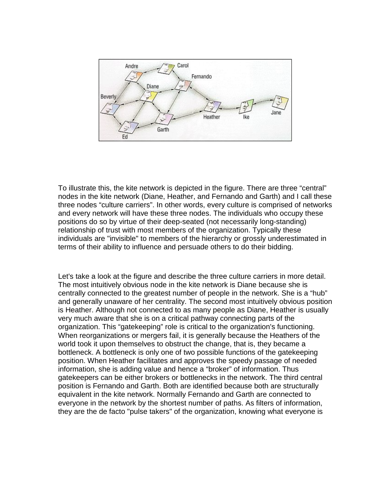

To illustrate this, the kite network is depicted in the figure. There are three "central" nodes in the kite network (Diane, Heather, and Fernando and Garth) and I call these three nodes "culture carriers". In other words, every culture is comprised of networks and every network will have these three nodes. The individuals who occupy these positions do so by virtue of their deep-seated (not necessarily long-standing) relationship of trust with most members of the organization. Typically these individuals are "invisible" to members of the hierarchy or grossly underestimated in terms of their ability to influence and persuade others to do their bidding.

Let's take a look at the figure and describe the three culture carriers in more detail. The most intuitively obvious node in the kite network is Diane because she is centrally connected to the greatest number of people in the network. She is a "hub" and generally unaware of her centrality. The second most intuitively obvious position is Heather. Although not connected to as many people as Diane, Heather is usually very much aware that she is on a critical pathway connecting parts of the organization. This "gatekeeping" role is critical to the organization's functioning. When reorganizations or mergers fail, it is generally because the Heathers of the world took it upon themselves to obstruct the change, that is, they became a bottleneck. A bottleneck is only one of two possible functions of the gatekeeping position. When Heather facilitates and approves the speedy passage of needed information, she is adding value and hence a "broker" of information. Thus gatekeepers can be either brokers or bottlenecks in the network. The third central position is Fernando and Garth. Both are identified because both are structurally equivalent in the kite network. Normally Fernando and Garth are connected to everyone in the network by the shortest number of paths. As filters of information, they are the de facto "pulse takers" of the organization, knowing what everyone is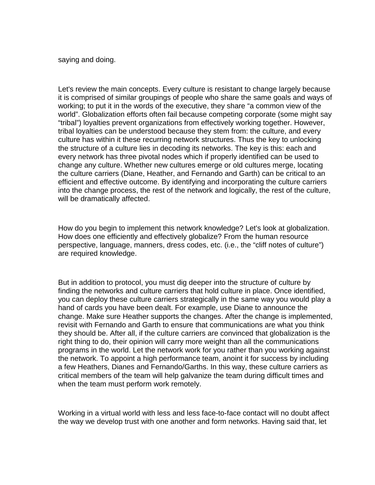saying and doing.

Let's review the main concepts. Every culture is resistant to change largely because it is comprised of similar groupings of people who share the same goals and ways of working; to put it in the words of the executive, they share "a common view of the world". Globalization efforts often fail because competing corporate (some might say "tribal") loyalties prevent organizations from effectively working together. However, tribal loyalties can be understood because they stem from: the culture, and every culture has within it these recurring network structures. Thus the key to unlocking the structure of a culture lies in decoding its networks. The key is this: each and every network has three pivotal nodes which if properly identified can be used to change any culture. Whether new cultures emerge or old cultures merge, locating the culture carriers (Diane, Heather, and Fernando and Garth) can be critical to an efficient and effective outcome. By identifying and incorporating the culture carriers into the change process, the rest of the network and logically, the rest of the culture, will be dramatically affected.

How do you begin to implement this network knowledge? Let's look at globalization. How does one efficiently and effectively globalize? From the human resource perspective, language, manners, dress codes, etc. (i.e., the "cliff notes of culture") are required knowledge.

But in addition to protocol, you must dig deeper into the structure of culture by finding the networks and culture carriers that hold culture in place. Once identified, you can deploy these culture carriers strategically in the same way you would play a hand of cards you have been dealt. For example, use Diane to announce the change. Make sure Heather supports the changes. After the change is implemented, revisit with Fernando and Garth to ensure that communications are what you think they should be. After all, if the culture carriers are convinced that globalization is the right thing to do, their opinion will carry more weight than all the communications programs in the world. Let the network work for you rather than you working against the network. To appoint a high performance team, anoint it for success by including a few Heathers, Dianes and Fernando/Garths. In this way, these culture carriers as critical members of the team will help galvanize the team during difficult times and when the team must perform work remotely.

Working in a virtual world with less and less face-to-face contact will no doubt affect the way we develop trust with one another and form networks. Having said that, let